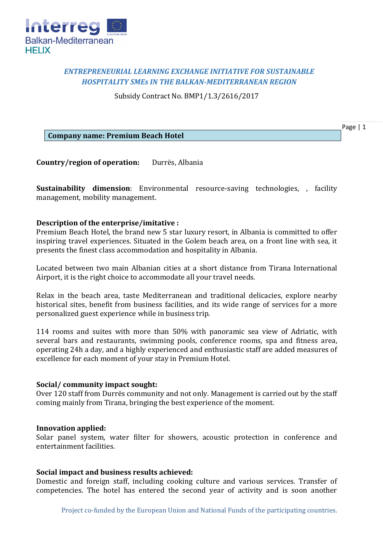

# *ENTREPRENEURIAL LEARNING EXCHANGE INITIATIVE FOR SUSTAINABLE HOSPITALITY SMEs IN THE BALKAN-MEDITERRANEAN REGION*

Subsidy Contract No. BMP1/1.3/2616/2017

Page | 1

**Company name: Premium Beach Hotel**

**Country/region of operation:** Durrës, Albania

**Sustainability dimension**: Environmental resource-saving technologies, , facility management, mobility management.

# **Description of the enterprise/imitative :**

Premium Beach Hotel, the brand new 5 star luxury resort, in Albania is committed to offer inspiring travel experiences. Situated in the Golem beach area, on a front line with sea, it presents the finest class accommodation and hospitality in Albania.

Located between two main Albanian cities at a short distance from Tirana International Airport, it is the right choice to accommodate all your travel needs.

Relax in the beach area, taste Mediterranean and traditional delicacies, explore nearby historical sites, benefit from business facilities, and its wide range of services for a more personalized guest experience while in business trip.

114 rooms and suites with more than 50% with panoramic sea view of Adriatic, with several bars and restaurants, swimming pools, conference rooms, spa and fitness area, operating 24h a day, and a highly experienced and enthusiastic staff are added measures of excellence for each moment of your stay in Premium Hotel.

## **Social/ community impact sought:**

Over 120 staff from Durrës community and not only. Management is carried out by the staff coming mainly from Tirana, bringing the best experience of the moment.

## **Innovation applied:**

Solar panel system, water filter for showers, acoustic protection in conference and entertainment facilities.

## **Social impact and business results achieved:**

Domestic and foreign staff, including cooking culture and various services. Transfer of competencies. The hotel has entered the second year of activity and is soon another